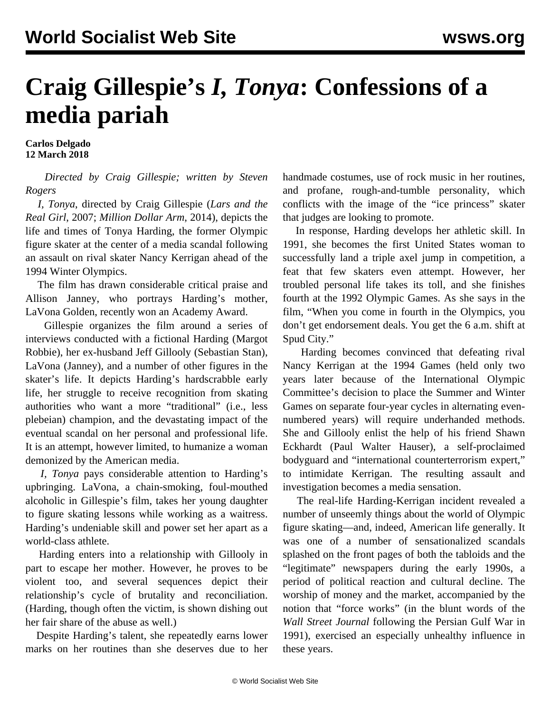## **Craig Gillespie's** *I, Tonya***: Confessions of a media pariah**

**Carlos Delgado 12 March 2018**

 *Directed by Craig Gillespie; written by Steven Rogers*

 *I, Tonya*, directed by Craig Gillespie (*Lars and the Real Girl*, 2007; *Million Dollar Arm*, 2014), depicts the life and times of Tonya Harding, the former Olympic figure skater at the center of a media scandal following an assault on rival skater Nancy Kerrigan ahead of the 1994 Winter Olympics.

 The film has drawn considerable critical praise and Allison Janney, who portrays Harding's mother, LaVona Golden, recently won an Academy Award.

 Gillespie organizes the film around a series of interviews conducted with a fictional Harding (Margot Robbie), her ex-husband Jeff Gillooly (Sebastian Stan), LaVona (Janney), and a number of other figures in the skater's life. It depicts Harding's hardscrabble early life, her struggle to receive recognition from skating authorities who want a more "traditional" (i.e., less plebeian) champion, and the devastating impact of the eventual scandal on her personal and professional life. It is an attempt, however limited, to humanize a woman demonized by the American media.

 *I, Tonya* pays considerable attention to Harding's upbringing. LaVona, a chain-smoking, foul-mouthed alcoholic in Gillespie's film, takes her young daughter to figure skating lessons while working as a waitress. Harding's undeniable skill and power set her apart as a world-class athlete.

 Harding enters into a relationship with Gillooly in part to escape her mother. However, he proves to be violent too, and several sequences depict their relationship's cycle of brutality and reconciliation. (Harding, though often the victim, is shown dishing out her fair share of the abuse as well.)

 Despite Harding's talent, she repeatedly earns lower marks on her routines than she deserves due to her handmade costumes, use of rock music in her routines, and profane, rough-and-tumble personality, which conflicts with the image of the "ice princess" skater that judges are looking to promote.

 In response, Harding develops her athletic skill. In 1991, she becomes the first United States woman to successfully land a triple axel jump in competition, a feat that few skaters even attempt. However, her troubled personal life takes its toll, and she finishes fourth at the 1992 Olympic Games. As she says in the film, "When you come in fourth in the Olympics, you don't get endorsement deals. You get the 6 a.m. shift at Spud City."

 Harding becomes convinced that defeating rival Nancy Kerrigan at the 1994 Games (held only two years later because of the International Olympic Committee's decision to place the Summer and Winter Games on separate four-year cycles in alternating evennumbered years) will require underhanded methods. She and Gillooly enlist the help of his friend Shawn Eckhardt (Paul Walter Hauser), a self-proclaimed bodyguard and "international counterterrorism expert," to intimidate Kerrigan. The resulting assault and investigation becomes a media sensation.

 The real-life Harding-Kerrigan incident revealed a number of unseemly things about the world of Olympic figure skating—and, indeed, American life generally. It was one of a number of sensationalized scandals splashed on the front pages of both the tabloids and the "legitimate" newspapers during the early 1990s, a period of political reaction and cultural decline. The worship of money and the market, accompanied by the notion that "force works" (in the blunt words of the *Wall Street Journal* following the Persian Gulf War in 1991), exercised an especially unhealthy influence in these years.